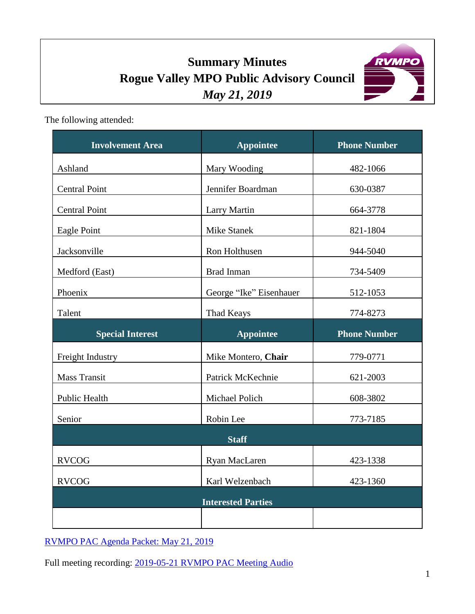# **Summary Minutes Rogue Valley MPO Public Advisory Council** *May 21, 2019*



The following attended:

| <b>Involvement Area</b>   | <b>Appointee</b>        | <b>Phone Number</b> |
|---------------------------|-------------------------|---------------------|
| Ashland                   | Mary Wooding            | 482-1066            |
| <b>Central Point</b>      | Jennifer Boardman       | 630-0387            |
| <b>Central Point</b>      | <b>Larry Martin</b>     | 664-3778            |
| Eagle Point               | Mike Stanek             | 821-1804            |
| Jacksonville              | Ron Holthusen           | 944-5040            |
| Medford (East)            | Brad Inman              | 734-5409            |
| Phoenix                   | George "Ike" Eisenhauer | 512-1053            |
| Talent                    | Thad Keays              | 774-8273            |
| <b>Special Interest</b>   | <b>Appointee</b>        | <b>Phone Number</b> |
| Freight Industry          | Mike Montero, Chair     | 779-0771            |
| <b>Mass Transit</b>       | Patrick McKechnie       | 621-2003            |
| Public Health             | Michael Polich          | 608-3802            |
| Senior                    | Robin Lee               | 773-7185            |
| <b>Staff</b>              |                         |                     |
| <b>RVCOG</b>              | Ryan MacLaren           | 423-1338            |
| <b>RVCOG</b>              | Karl Welzenbach         | 423-1360            |
| <b>Interested Parties</b> |                         |                     |
|                           |                         |                     |

[RVMPO PAC Agenda Packet: May 21, 2019](https://rvmpo.org/images/committees/public-advisory-council/2019/Agenda_Packets/05212019%20RVMPO%20PAC%20Agenda_Updated.pdf)

Full meeting recording: 2019-05-21 [RVMPO PAC Meeting](https://rvmpo.org/images/committees/public-advisory-council/2019/Audio_Files/20190521_RVMPO%20PAC_MeetingAudio_AudacityFinal.mp3) Audio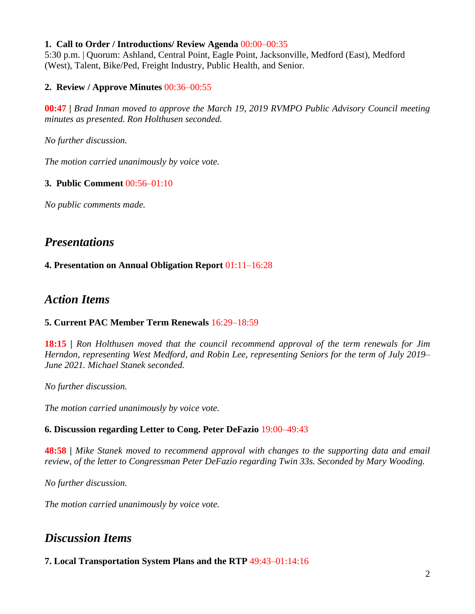#### **1. Call to Order / Introductions/ Review Agenda** 00:00–00:35

5:30 p.m. | Quorum: Ashland, Central Point, Eagle Point, Jacksonville, Medford (East), Medford (West), Talent, Bike/Ped, Freight Industry, Public Health, and Senior.

#### **2. Review / Approve Minutes** 00:36–00:55

**00:47 |** *Brad Inman moved to approve the March 19, 2019 RVMPO Public Advisory Council meeting minutes as presented. Ron Holthusen seconded.*

*No further discussion.*

*The motion carried unanimously by voice vote.*

#### **3. Public Comment** 00:56–01:10

*No public comments made.* 

## *Presentations*

#### **4. Presentation on Annual Obligation Report** 01:11–16:28

## *Action Items*

#### **5. Current PAC Member Term Renewals** 16:29–18:59

**18:15 |** *Ron Holthusen moved that the council recommend approval of the term renewals for Jim Herndon, representing West Medford, and Robin Lee, representing Seniors for the term of July 2019– June 2021. Michael Stanek seconded.*

*No further discussion.*

*The motion carried unanimously by voice vote.*

#### **6. Discussion regarding Letter to Cong. Peter DeFazio** 19:00–49:43

**48:58 |** *Mike Stanek moved to recommend approval with changes to the supporting data and email review, of the letter to Congressman Peter DeFazio regarding Twin 33s. Seconded by Mary Wooding.*

*No further discussion.* 

*The motion carried unanimously by voice vote.* 

## *Discussion Items*

**7. Local Transportation System Plans and the RTP** 49:43–01:14:16